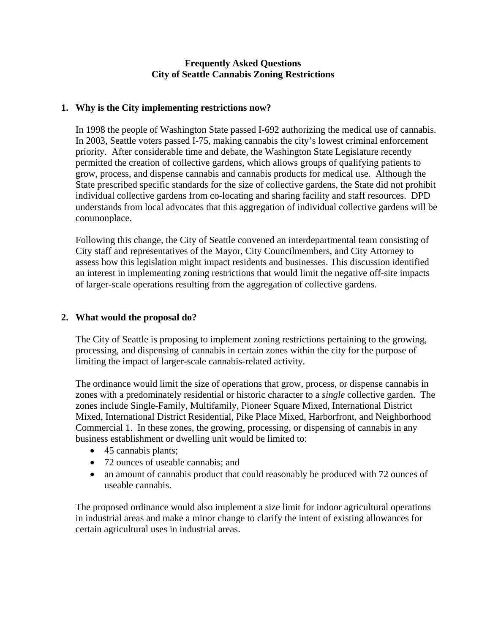## **Frequently Asked Questions City of Seattle Cannabis Zoning Restrictions**

### **1. Why is the City implementing restrictions now?**

In 1998 the people of Washington State passed I-692 authorizing the medical use of cannabis. In 2003, Seattle voters passed I-75, making cannabis the city's lowest criminal enforcement priority. After considerable time and debate, the Washington State Legislature recently permitted the creation of collective gardens, which allows groups of qualifying patients to grow, process, and dispense cannabis and cannabis products for medical use. Although the State prescribed specific standards for the size of collective gardens, the State did not prohibit individual collective gardens from co-locating and sharing facility and staff resources. DPD understands from local advocates that this aggregation of individual collective gardens will be commonplace.

Following this change, the City of Seattle convened an interdepartmental team consisting of City staff and representatives of the Mayor, City Councilmembers, and City Attorney to assess how this legislation might impact residents and businesses. This discussion identified an interest in implementing zoning restrictions that would limit the negative off-site impacts of larger-scale operations resulting from the aggregation of collective gardens.

# **2. What would the proposal do?**

The City of Seattle is proposing to implement zoning restrictions pertaining to the growing, processing, and dispensing of cannabis in certain zones within the city for the purpose of limiting the impact of larger-scale cannabis-related activity.

The ordinance would limit the size of operations that grow, process, or dispense cannabis in zones with a predominately residential or historic character to a *single* collective garden. The zones include Single-Family, Multifamily, Pioneer Square Mixed, International District Mixed, International District Residential, Pike Place Mixed, Harborfront, and Neighborhood Commercial 1. In these zones, the growing, processing, or dispensing of cannabis in any business establishment or dwelling unit would be limited to:

- 45 cannabis plants;
- 72 ounces of useable cannabis; and
- an amount of cannabis product that could reasonably be produced with 72 ounces of useable cannabis.

The proposed ordinance would also implement a size limit for indoor agricultural operations in industrial areas and make a minor change to clarify the intent of existing allowances for certain agricultural uses in industrial areas.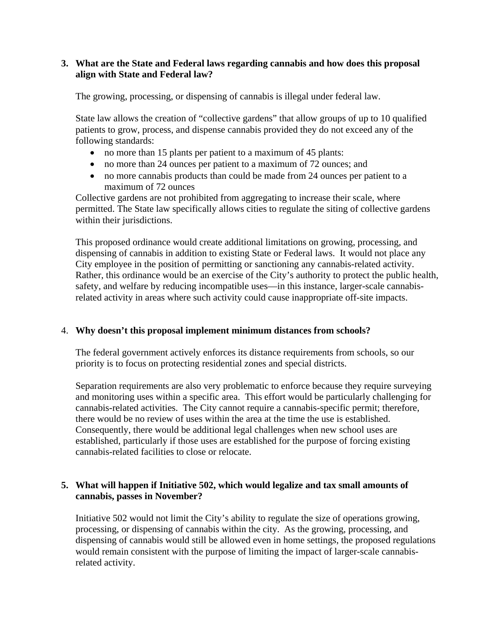## **3. What are the State and Federal laws regarding cannabis and how does this proposal align with State and Federal law?**

The growing, processing, or dispensing of cannabis is illegal under federal law.

State law allows the creation of "collective gardens" that allow groups of up to 10 qualified patients to grow, process, and dispense cannabis provided they do not exceed any of the following standards:

- no more than 15 plants per patient to a maximum of 45 plants:
- no more than 24 ounces per patient to a maximum of 72 ounces; and
- no more cannabis products than could be made from 24 ounces per patient to a maximum of 72 ounces

Collective gardens are not prohibited from aggregating to increase their scale, where permitted. The State law specifically allows cities to regulate the siting of collective gardens within their jurisdictions.

This proposed ordinance would create additional limitations on growing, processing, and dispensing of cannabis in addition to existing State or Federal laws. It would not place any City employee in the position of permitting or sanctioning any cannabis-related activity. Rather, this ordinance would be an exercise of the City's authority to protect the public health, safety, and welfare by reducing incompatible uses—in this instance, larger-scale cannabisrelated activity in areas where such activity could cause inappropriate off-site impacts.

#### 4. **Why doesn't this proposal implement minimum distances from schools?**

The federal government actively enforces its distance requirements from schools, so our priority is to focus on protecting residential zones and special districts.

Separation requirements are also very problematic to enforce because they require surveying and monitoring uses within a specific area. This effort would be particularly challenging for cannabis-related activities. The City cannot require a cannabis-specific permit; therefore, there would be no review of uses within the area at the time the use is established. Consequently, there would be additional legal challenges when new school uses are established, particularly if those uses are established for the purpose of forcing existing cannabis-related facilities to close or relocate.

# **5. What will happen if Initiative 502, which would legalize and tax small amounts of cannabis, passes in November?**

Initiative 502 would not limit the City's ability to regulate the size of operations growing, processing, or dispensing of cannabis within the city. As the growing, processing, and dispensing of cannabis would still be allowed even in home settings, the proposed regulations would remain consistent with the purpose of limiting the impact of larger-scale cannabisrelated activity.